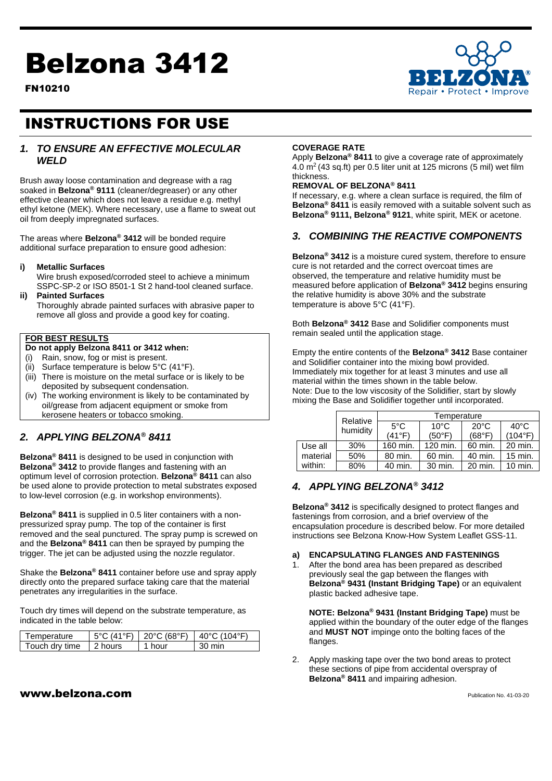# Belzona 3412

FN10210



# INSTRUCTIONS FOR USE

# *1. TO ENSURE AN EFFECTIVE MOLECULAR WELD*

Brush away loose contamination and degrease with a rag soaked in **Belzona® 9111** (cleaner/degreaser) or any other effective cleaner which does not leave a residue e.g. methyl ethyl ketone (MEK). Where necessary, use a flame to sweat out oil from deeply impregnated surfaces.

The areas where **Belzona® 3412** will be bonded require additional surface preparation to ensure good adhesion:

#### **i) Metallic Surfaces**

Wire brush exposed/corroded steel to achieve a minimum SSPC-SP-2 or ISO 8501-1 St 2 hand-tool cleaned surface.

#### **ii) Painted Surfaces**

Thoroughly abrade painted surfaces with abrasive paper to remove all gloss and provide a good key for coating.

#### **FOR BEST RESULTS**

#### **Do not apply Belzona 8411 or 3412 when:**

- (i) Rain, snow, fog or mist is present.
- (ii) Surface temperature is below 5°C (41°F).
- (iii) There is moisture on the metal surface or is likely to be deposited by subsequent condensation.
- (iv) The working environment is likely to be contaminated by oil/grease from adjacent equipment or smoke from kerosene heaters or tobacco smoking.

# *2. APPLYING BELZONA® 8411*

**Belzona® 8411** is designed to be used in conjunction with **Belzona® 3412** to provide flanges and fastening with an optimum level of corrosion protection. **Belzona® 8411** can also be used alone to provide protection to metal substrates exposed to low-level corrosion (e.g. in workshop environments).

**Belzona® 8411** is supplied in 0.5 liter containers with a nonpressurized spray pump. The top of the container is first removed and the seal punctured. The spray pump is screwed on and the **Belzona® 8411** can then be sprayed by pumping the trigger. The jet can be adjusted using the nozzle regulator.

Shake the **Belzona® 8411** container before use and spray apply directly onto the prepared surface taking care that the material penetrates any irregularities in the surface.

Touch dry times will depend on the substrate temperature, as indicated in the table below:

| Temperature    |                  | $5^{\circ}$ C (41°F)   20°C (68°F) | $\pm$ 40°C (104°F) |  |
|----------------|------------------|------------------------------------|--------------------|--|
| Touch dry time | $\sqrt{2}$ hours | 1 hour                             | .30 min            |  |

#### **COVERAGE RATE**

Apply **Belzona® 8411** to give a coverage rate of approximately 4.0 m<sup>2</sup> (43 sq.ft) per 0.5 liter unit at 125 microns (5 mil) wet film thickness.

## **REMOVAL OF BELZONA® 8411**

If necessary, e.g. where a clean surface is required, the film of **Belzona® 8411** is easily removed with a suitable solvent such as **Belzona® 9111, Belzona® 9121**, white spirit, MEK or acetone.

# *3. COMBINING THE REACTIVE COMPONENTS*

**Belzona® 3412** is a moisture cured system, therefore to ensure cure is not retarded and the correct overcoat times are observed, the temperature and relative humidity must be measured before application of **Belzona® 3412** begins ensuring the relative humidity is above 30% and the substrate temperature is above 5°C (41°F).

Both **Belzona® 3412** Base and Solidifier components must remain sealed until the application stage.

Empty the entire contents of the **Belzona® 3412** Base container and Solidifier container into the mixing bowl provided. Immediately mix together for at least 3 minutes and use all material within the times shown in the table below. Note: Due to the low viscosity of the Solidifier, start by slowly mixing the Base and Solidifier together until incorporated.

|          | Relative<br>humidity | Temperature   |                |                |                |
|----------|----------------------|---------------|----------------|----------------|----------------|
|          |                      | $5^{\circ}$ C | $10^{\circ}$ C | $20^{\circ}$ C | $40^{\circ}$ C |
|          |                      | (41°F)        | (50°F)         | (68°F)         | (104°F)        |
| Use all  | 30%                  | 160 min.      | 120 min.       | 60 min.        | 20 min.        |
| material | 50%                  | 80 min.       | 60 min.        | 40 min.        | 15 min.        |
| within:  | 80%                  | 40 min.       | 30 min.        | 20 min.        | 10 min.        |

# *4. APPLYING BELZONA® 3412*

**Belzona® 3412** is specifically designed to protect flanges and fastenings from corrosion, and a brief overview of the encapsulation procedure is described below. For more detailed instructions see Belzona Know-How System Leaflet GSS-11.

#### **a) ENCAPSULATING FLANGES AND FASTENINGS**

1. After the bond area has been prepared as described previously seal the gap between the flanges with **Belzona® 9431 (Instant Bridging Tape)** or an equivalent plastic backed adhesive tape.

**NOTE: Belzona® 9431 (Instant Bridging Tape)** must be applied within the boundary of the outer edge of the flanges and **MUST NOT** impinge onto the bolting faces of the flanges.

2. Apply masking tape over the two bond areas to protect these sections of pipe from accidental overspray of **Belzona® 8411** and impairing adhesion.

# $www.belzona.com$